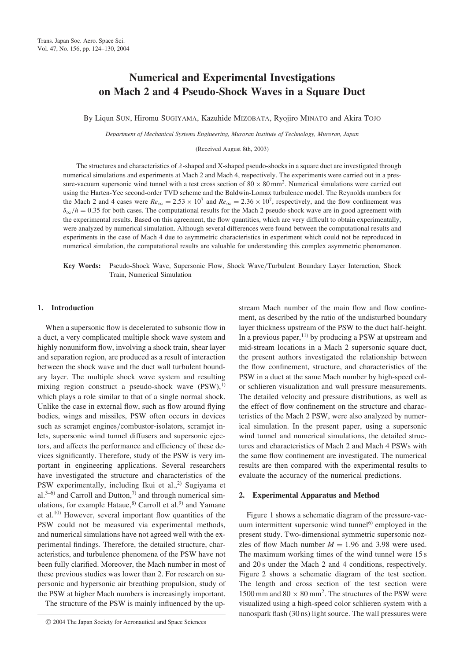# Numerical and Experimental Investigations on Mach 2 and 4 Pseudo-Shock Waves in a Square Duct

By Liqun SUN, Hiromu SUGIYAMA, Kazuhide MIZOBATA, Ryojiro MINATO and Akira TOJO

Department of Mechanical Systems Engineering, Muroran Institute of Technology, Muroran, Japan

(Received August 8th, 2003)

The structures and characteristics of  $\lambda$ -shaped and X-shaped pseudo-shocks in a square duct are investigated through numerical simulations and experiments at Mach 2 and Mach 4, respectively. The experiments were carried out in a pressure-vacuum supersonic wind tunnel with a test cross section of  $80 \times 80 \text{ mm}^2$ . Numerical simulations were carried out using the Harten-Yee second-order TVD scheme and the Baldwin-Lomax turbulence model. The Reynolds numbers for the Mach 2 and 4 cases were  $Re_{\infty} = 2.53 \times 10^7$  and  $Re_{\infty} = 2.36 \times 10^7$ , respectively, and the flow confinement was  $\delta_{\infty}/h = 0.35$  for both cases. The computational results for the Mach 2 pseudo-shock wave are in good agreement with the experimental results. Based on this agreement, the flow quantities, which are very difficult to obtain experimentally, were analyzed by numerical simulation. Although several differences were found between the computational results and experiments in the case of Mach 4 due to asymmetric characteristics in experiment which could not be reproduced in numerical simulation, the computational results are valuable for understanding this complex asymmetric phenomenon.

Key Words: Pseudo-Shock Wave, Supersonic Flow, Shock Wave/Turbulent Boundary Layer Interaction, Shock Train, Numerical Simulation

#### 1. Introduction

When a supersonic flow is decelerated to subsonic flow in a duct, a very complicated multiple shock wave system and highly nonuniform flow, involving a shock train, shear layer and separation region, are produced as a result of interaction between the shock wave and the duct wall turbulent boundary layer. The multiple shock wave system and resulting mixing region construct a pseudo-shock wave  $(PSW)$ ,<sup>1)</sup> which plays a role similar to that of a single normal shock. Unlike the case in external flow, such as flow around flying bodies, wings and missiles, PSW often occurs in devices such as scramjet engines/combustor-isolators, scramjet inlets, supersonic wind tunnel diffusers and supersonic ejectors, and affects the performance and efficiency of these devices significantly. Therefore, study of the PSW is very important in engineering applications. Several researchers have investigated the structure and characteristics of the PSW experimentally, including Ikui et al.,<sup>2)</sup> Sugiyama et al.<sup>3–6)</sup> and Carroll and Dutton,<sup>7)</sup> and through numerical simulations, for example Hataue, $8$  Carroll et al. $9$  and Yamane et al.10) However, several important flow quantities of the PSW could not be measured via experimental methods, and numerical simulations have not agreed well with the experimental findings. Therefore, the detailed structure, characteristics, and turbulence phenomena of the PSW have not been fully clarified. Moreover, the Mach number in most of these previous studies was lower than 2. For research on supersonic and hypersonic air breathing propulsion, study of the PSW at higher Mach numbers is increasingly important.

The structure of the PSW is mainly influenced by the up-

stream Mach number of the main flow and flow confinement, as described by the ratio of the undisturbed boundary layer thickness upstream of the PSW to the duct half-height. In a previous paper,<sup>11)</sup> by producing a PSW at upstream and mid-stream locations in a Mach 2 supersonic square duct, the present authors investigated the relationship between the flow confinement, structure, and characteristics of the PSW in a duct at the same Mach number by high-speed color schlieren visualization and wall pressure measurements. The detailed velocity and pressure distributions, as well as the effect of flow confinement on the structure and characteristics of the Mach 2 PSW, were also analyzed by numerical simulation. In the present paper, using a supersonic wind tunnel and numerical simulations, the detailed structures and characteristics of Mach 2 and Mach 4 PSWs with the same flow confinement are investigated. The numerical results are then compared with the experimental results to evaluate the accuracy of the numerical predictions.

#### 2. Experimental Apparatus and Method

Figure 1 shows a schematic diagram of the pressure-vacuum intermittent supersonic wind tunnel $^{6)}$  employed in the present study. Two-dimensional symmetric supersonic nozzles of flow Mach number  $M = 1.96$  and 3.98 were used. The maximum working times of the wind tunnel were 15 s and 20 s under the Mach 2 and 4 conditions, respectively. Figure 2 shows a schematic diagram of the test section. The length and cross section of the test section were 1500 mm and  $80 \times 80$  mm<sup>2</sup>. The structures of the PSW were visualized using a high-speed color schlieren system with a nanospark flash (30 ns) light source. The wall pressures were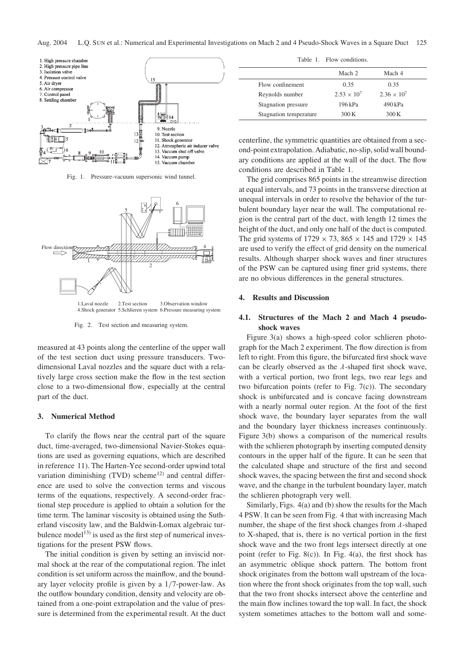

Fig. 1. Pressure-vacuum supersonic wind tunnel.



Fig. 2. Test section and measuring system.

measured at 43 points along the centerline of the upper wall of the test section duct using pressure transducers. Twodimensional Laval nozzles and the square duct with a relatively large cross section make the flow in the test section close to a two-dimensional flow, especially at the central part of the duct.

## 3. Numerical Method

To clarify the flows near the central part of the square duct, time-averaged, two-dimensional Navier-Stokes equations are used as governing equations, which are described in reference 11). The Harten-Yee second-order upwind total variation diminishing (TVD) scheme<sup>12)</sup> and central difference are used to solve the convection terms and viscous terms of the equations, respectively. A second-order fractional step procedure is applied to obtain a solution for the time term. The laminar viscosity is obtained using the Sutherland viscosity law, and the Baldwin-Lomax algebraic turbulence model<sup>13)</sup> is used as the first step of numerical investigations for the present PSW flows.

The initial condition is given by setting an inviscid normal shock at the rear of the computational region. The inlet condition is set uniform across the mainflow, and the boundary layer velocity profile is given by a 1/7-power-law. As the outflow boundary condition, density and velocity are obtained from a one-point extrapolation and the value of pressure is determined from the experimental result. At the duct

|                        | Mach 2               | Mach 4               |  |
|------------------------|----------------------|----------------------|--|
| Flow confinement       | 0.35                 | 0.35                 |  |
| Reynolds number        | $2.53 \times 10^{7}$ | $2.36 \times 10^{7}$ |  |
| Stagnation pressure    | 196 kPa              | 490 kPa              |  |
| Stagnation temperature | 300 K                | 300K                 |  |

centerline, the symmetric quantities are obtained from a second-point extrapolation. Adiabatic, no-slip, solid wall boundary conditions are applied at the wall of the duct. The flow conditions are described in Table 1.

The grid comprises 865 points in the streamwise direction at equal intervals, and 73 points in the transverse direction at unequal intervals in order to resolve the behavior of the turbulent boundary layer near the wall. The computational region is the central part of the duct, with length 12 times the height of the duct, and only one half of the duct is computed. The grid systems of  $1729 \times 73$ ,  $865 \times 145$  and  $1729 \times 145$ are used to verify the effect of grid density on the numerical results. Although sharper shock waves and finer structures of the PSW can be captured using finer grid systems, there are no obvious differences in the general structures.

### 4. Results and Discussion

## 4.1. Structures of the Mach 2 and Mach 4 pseudoshock waves

Figure 3(a) shows a high-speed color schlieren photograph for the Mach 2 experiment. The flow direction is from left to right. From this figure, the bifurcated first shock wave can be clearly observed as the  $\lambda$ -shaped first shock wave, with a vertical portion, two front legs, two rear legs and two bifurcation points (refer to Fig. 7(c)). The secondary shock is unbifurcated and is concave facing downstream with a nearly normal outer region. At the foot of the first shock wave, the boundary layer separates from the wall and the boundary layer thickness increases continuously. Figure 3(b) shows a comparison of the numerical results with the schlieren photograph by inserting computed density contours in the upper half of the figure. It can be seen that the calculated shape and structure of the first and second shock waves, the spacing between the first and second shock wave, and the change in the turbulent boundary layer, match the schlieren photograph very well.

Similarly, Figs. 4(a) and (b) show the results for the Mach 4 PSW. It can be seen from Fig. 4 that with increasing Mach number, the shape of the first shock changes from  $\lambda$ -shaped to X-shaped, that is, there is no vertical portion in the first shock wave and the two front legs intersect directly at one point (refer to Fig. 8(c)). In Fig. 4(a), the first shock has an asymmetric oblique shock pattern. The bottom front shock originates from the bottom wall upstream of the location where the front shock originates from the top wall, such that the two front shocks intersect above the centerline and the main flow inclines toward the top wall. In fact, the shock system sometimes attaches to the bottom wall and some-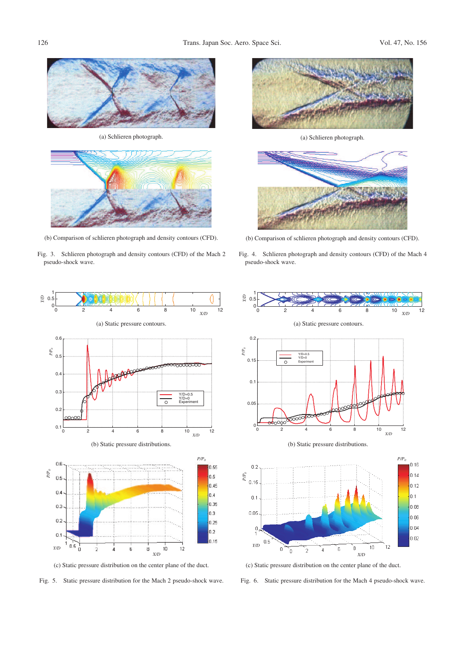

(a) Schlieren photograph.



(b) Comparison of schlieren photograph and density contours (CFD).

Fig. 3. Schlieren photograph and density contours (CFD) of the Mach 2 pseudo-shock wave.



(c) Static pressure distribution on the center plane of the duct.

Fig. 5. Static pressure distribution for the Mach 2 pseudo-shock wave.



(a) Schlieren photograph.



(b) Comparison of schlieren photograph and density contours (CFD).

Fig. 4. Schlieren photograph and density contours (CFD) of the Mach 4 pseudo-shock wave.



(c) Static pressure distribution on the center plane of the duct.

Fig. 6. Static pressure distribution for the Mach 4 pseudo-shock wave.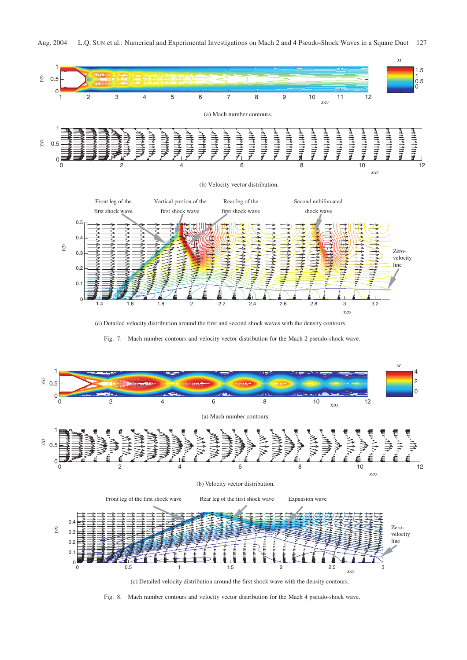*M*







(c) Detailed velocity distribution around the first and second shock waves with the density contours.





Fig. 8. Mach number contours and velocity vector distribution for the Mach 4 pseudo-shock wave.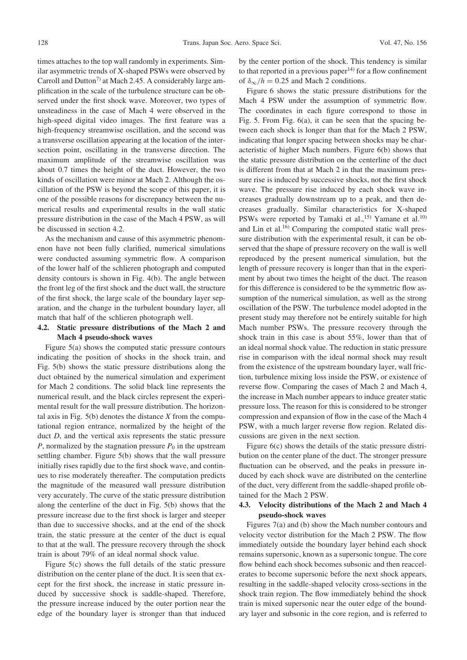times attaches to the top wall randomly in experiments. Similar asymmetric trends of X-shaped PSWs were observed by Carroll and Dutton<sup>7)</sup> at Mach 2.45. A considerably large amplification in the scale of the turbulence structure can be observed under the first shock wave. Moreover, two types of unsteadiness in the case of Mach 4 were observed in the high-speed digital video images. The first feature was a high-frequency streamwise oscillation, and the second was a transverse oscillation appearing at the location of the intersection point, oscillating in the transverse direction. The maximum amplitude of the streamwise oscillation was about 0.7 times the height of the duct. However, the two kinds of oscillation were minor at Mach 2. Although the oscillation of the PSW is beyond the scope of this paper, it is one of the possible reasons for discrepancy between the numerical results and experimental results in the wall static pressure distribution in the case of the Mach 4 PSW, as will be discussed in section 4.2.

As the mechanism and cause of this asymmetric phenomenon have not been fully clarified, numerical simulations were conducted assuming symmetric flow. A comparison of the lower half of the schlieren photograph and computed density contours is shown in Fig. 4(b). The angle between the front leg of the first shock and the duct wall, the structure of the first shock, the large scale of the boundary layer separation, and the change in the turbulent boundary layer, all match that half of the schlieren photograph well.

## 4.2. Static pressure distributions of the Mach 2 and Mach 4 pseudo-shock waves

Figure 5(a) shows the computed static pressure contours indicating the position of shocks in the shock train, and Fig. 5(b) shows the static pressure distributions along the duct obtained by the numerical simulation and experiment for Mach 2 conditions. The solid black line represents the numerical result, and the black circles represent the experimental result for the wall pressure distribution. The horizontal axis in Fig.  $5(b)$  denotes the distance X from the computational region entrance, normalized by the height of the duct  $D$ , and the vertical axis represents the static pressure P, normalized by the stagnation pressure  $P_0$  in the upstream settling chamber. Figure 5(b) shows that the wall pressure initially rises rapidly due to the first shock wave, and continues to rise moderately thereafter. The computation predicts the magnitude of the measured wall pressure distribution very accurately. The curve of the static pressure distribution along the centerline of the duct in Fig. 5(b) shows that the pressure increase due to the first shock is larger and steeper than due to successive shocks, and at the end of the shock train, the static pressure at the center of the duct is equal to that at the wall. The pressure recovery through the shock train is about 79% of an ideal normal shock value.

Figure 5(c) shows the full details of the static pressure distribution on the center plane of the duct. It is seen that except for the first shock, the increase in static pressure induced by successive shock is saddle-shaped. Therefore, the pressure increase induced by the outer portion near the edge of the boundary layer is stronger than that induced

by the center portion of the shock. This tendency is similar to that reported in a previous paper<sup>14)</sup> for a flow confinement of  $\delta_{\infty}/h = 0.25$  and Mach 2 conditions.

Figure 6 shows the static pressure distributions for the Mach 4 PSW under the assumption of symmetric flow. The coordinates in each figure correspond to those in Fig. 5. From Fig. 6(a), it can be seen that the spacing between each shock is longer than that for the Mach 2 PSW, indicating that longer spacing between shocks may be characteristic of higher Mach numbers. Figure 6(b) shows that the static pressure distribution on the centerline of the duct is different from that at Mach 2 in that the maximum pressure rise is induced by successive shocks, not the first shock wave. The pressure rise induced by each shock wave increases gradually downstream up to a peak, and then decreases gradually. Similar characteristics for X-shaped PSWs were reported by Tamaki et al.,<sup>15)</sup> Yamane et al.<sup>10)</sup> and Lin et al.16) Comparing the computed static wall pressure distribution with the experimental result, it can be observed that the shape of pressure recovery on the wall is well reproduced by the present numerical simulation, but the length of pressure recovery is longer than that in the experiment by about two times the height of the duct. The reason for this difference is considered to be the symmetric flow assumption of the numerical simulation, as well as the strong oscillation of the PSW. The turbulence model adopted in the present study may therefore not be entirely suitable for high Mach number PSWs. The pressure recovery through the shock train in this case is about 55%, lower than that of an ideal normal shock value. The reduction in static pressure rise in comparison with the ideal normal shock may result from the existence of the upstream boundary layer, wall friction, turbulence mixing loss inside the PSW, or existence of reverse flow. Comparing the cases of Mach 2 and Mach 4, the increase in Mach number appears to induce greater static pressure loss. The reason for this is considered to be stronger compression and expansion of flow in the case of the Mach 4 PSW, with a much larger reverse flow region. Related discussions are given in the next section.

Figure 6(c) shows the details of the static pressure distribution on the center plane of the duct. The stronger pressure fluctuation can be observed, and the peaks in pressure induced by each shock wave are distributed on the centerline of the duct, very different from the saddle-shaped profile obtained for the Mach 2 PSW.

# 4.3. Velocity distributions of the Mach 2 and Mach 4 pseudo-shock waves

Figures 7(a) and (b) show the Mach number contours and velocity vector distribution for the Mach 2 PSW. The flow immediately outside the boundary layer behind each shock remains supersonic, known as a supersonic tongue. The core flow behind each shock becomes subsonic and then reaccelerates to become supersonic before the next shock appears, resulting in the saddle-shaped velocity cross-sections in the shock train region. The flow immediately behind the shock train is mixed supersonic near the outer edge of the boundary layer and subsonic in the core region, and is referred to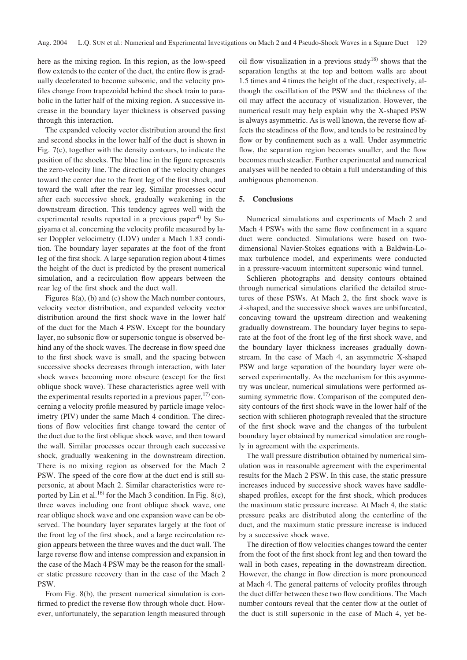here as the mixing region. In this region, as the low-speed flow extends to the center of the duct, the entire flow is gradually decelerated to become subsonic, and the velocity profiles change from trapezoidal behind the shock train to parabolic in the latter half of the mixing region. A successive increase in the boundary layer thickness is observed passing through this interaction.

The expanded velocity vector distribution around the first and second shocks in the lower half of the duct is shown in Fig. 7(c), together with the density contours, to indicate the position of the shocks. The blue line in the figure represents the zero-velocity line. The direction of the velocity changes toward the center due to the front leg of the first shock, and toward the wall after the rear leg. Similar processes occur after each successive shock, gradually weakening in the downstream direction. This tendency agrees well with the experimental results reported in a previous paper<sup>4)</sup> by Sugiyama et al. concerning the velocity profile measured by laser Doppler velocimetry (LDV) under a Mach 1.83 condition. The boundary layer separates at the foot of the front leg of the first shock. A large separation region about 4 times the height of the duct is predicted by the present numerical simulation, and a recirculation flow appears between the rear leg of the first shock and the duct wall.

Figures 8(a), (b) and (c) show the Mach number contours, velocity vector distribution, and expanded velocity vector distribution around the first shock wave in the lower half of the duct for the Mach 4 PSW. Except for the boundary layer, no subsonic flow or supersonic tongue is observed behind any of the shock waves. The decrease in flow speed due to the first shock wave is small, and the spacing between successive shocks decreases through interaction, with later shock waves becoming more obscure (except for the first oblique shock wave). These characteristics agree well with the experimental results reported in a previous paper, $17$  concerning a velocity profile measured by particle image velocimetry (PIV) under the same Mach 4 condition. The directions of flow velocities first change toward the center of the duct due to the first oblique shock wave, and then toward the wall. Similar processes occur through each successive shock, gradually weakening in the downstream direction. There is no mixing region as observed for the Mach 2 PSW. The speed of the core flow at the duct end is still supersonic, at about Mach 2. Similar characteristics were reported by Lin et al.<sup>16)</sup> for the Mach 3 condition. In Fig. 8(c), three waves including one front oblique shock wave, one rear oblique shock wave and one expansion wave can be observed. The boundary layer separates largely at the foot of the front leg of the first shock, and a large recirculation region appears between the three waves and the duct wall. The large reverse flow and intense compression and expansion in the case of the Mach 4 PSW may be the reason for the smaller static pressure recovery than in the case of the Mach 2 PSW.

From Fig. 8(b), the present numerical simulation is confirmed to predict the reverse flow through whole duct. However, unfortunately, the separation length measured through oil flow visualization in a previous study<sup>18)</sup> shows that the separation lengths at the top and bottom walls are about 1.5 times and 4 times the height of the duct, respectively, although the oscillation of the PSW and the thickness of the oil may affect the accuracy of visualization. However, the numerical result may help explain why the X-shaped PSW is always asymmetric. As is well known, the reverse flow affects the steadiness of the flow, and tends to be restrained by flow or by confinement such as a wall. Under asymmetric flow, the separation region becomes smaller, and the flow becomes much steadier. Further experimental and numerical analyses will be needed to obtain a full understanding of this ambiguous phenomenon.

#### 5. Conclusions

Numerical simulations and experiments of Mach 2 and Mach 4 PSWs with the same flow confinement in a square duct were conducted. Simulations were based on twodimensional Navier-Stokes equations with a Baldwin-Lomax turbulence model, and experiments were conducted in a pressure-vacuum intermittent supersonic wind tunnel.

Schlieren photographs and density contours obtained through numerical simulations clarified the detailed structures of these PSWs. At Mach 2, the first shock wave is  $\lambda$ -shaped, and the successive shock waves are unbifurcated, concaving toward the upstream direction and weakening gradually downstream. The boundary layer begins to separate at the foot of the front leg of the first shock wave, and the boundary layer thickness increases gradually downstream. In the case of Mach 4, an asymmetric X-shaped PSW and large separation of the boundary layer were observed experimentally. As the mechanism for this asymmetry was unclear, numerical simulations were performed assuming symmetric flow. Comparison of the computed density contours of the first shock wave in the lower half of the section with schlieren photograph revealed that the structure of the first shock wave and the changes of the turbulent boundary layer obtained by numerical simulation are roughly in agreement with the experiments.

The wall pressure distribution obtained by numerical simulation was in reasonable agreement with the experimental results for the Mach 2 PSW. In this case, the static pressure increases induced by successive shock waves have saddleshaped profiles, except for the first shock, which produces the maximum static pressure increase. At Mach 4, the static pressure peaks are distributed along the centerline of the duct, and the maximum static pressure increase is induced by a successive shock wave.

The direction of flow velocities changes toward the center from the foot of the first shock front leg and then toward the wall in both cases, repeating in the downstream direction. However, the change in flow direction is more pronounced at Mach 4. The general patterns of velocity profiles through the duct differ between these two flow conditions. The Mach number contours reveal that the center flow at the outlet of the duct is still supersonic in the case of Mach 4, yet be